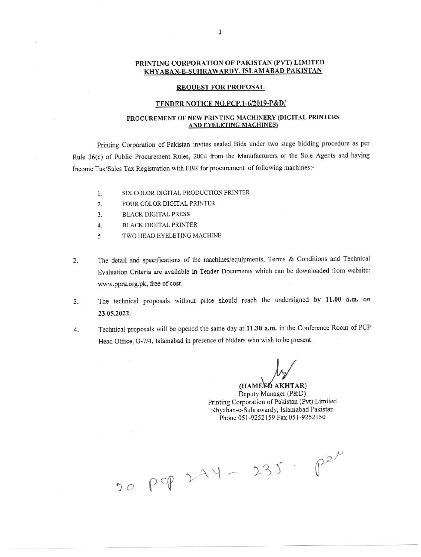# PRINTING CORPORATION OF PAKISTAN (PVT) LIMITED KHYABAN.E-SUHRAWARDY. ISLAMABAD PAKISTAN

#### REQUEST FOR PROPOSAL

#### TENDER NOTICE NO.PCP.1-6/2019-P&D/

## PROCUREMENT OF NEW PRINTING MACHINERY (DIGITAL PRINTERS AND EYELETING MACHINES)

Pinting Corporation of Pakistan invites sealed Bids under two stage bidding procedure as per Rule 36(c) of Public Procurement Rules, 2004 from the Manufacturers or the Sole Agents and having Income Tax/Sales Tax Registration with FBR for procurement of following machines:-

- L SIX COLOR DIGITAL PRODUCTION PRINTER
- 2. FOUR COLOR DIGITAL PRINTER
- 3. BLACK DIGITAI PRESS
- 4. BLACK DIGITAL PRINTER

20 P 9

- 5 TWO HEAD EYELETING MACHINE
- 2. The detail and specifications of the machines/equipments, Terms & Conditions and Technical Evaluation Criteria are available in Tender Documents which can be downloaded from website: www.ppra.org.pk, free of cost.
- The technical proposals without price should reach the undersigned by 11.00 a.m. on 23.05-2022. 3.
- Technical proposals will be opened the same day at 11.30 a.m. in the Conference Room of PCP Head Office, G-7/4, Islamabad in presence of bidders who wish to be present. 4

 $244$ 

(HAMEED AKHTAR) Deputy Manager (P&D) Printing Corporation of Pakistan (Pvt) Limited Khyaban-e-Suhrawardy, Islamabad Pakistan Phone 051-9252159 Fax 051-9252150

>3t ("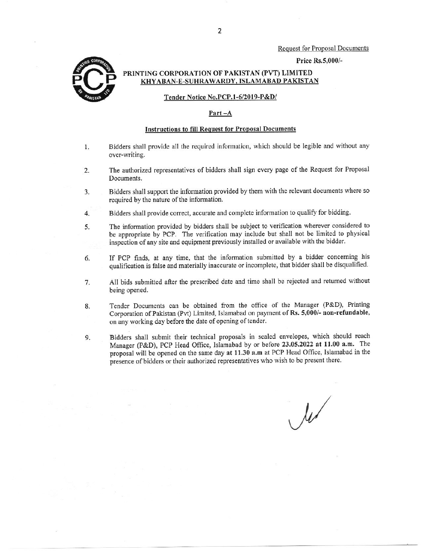Request for Proposal Documents

Price Rs.5.000/-



PRINTING CORPORATION OF PAKISTAN (PVT) LIMITED KHYABAN-E-SUHRAWARDY, ISLAMABAD PAKISTAN

### Tender Notice No.PCP.1-6/2019-P&D/

### Part-A

## Instructions to fill Request for Proposal Documents

- Bidders shall provide all the required information, which should be legible and without any over-writing. I
- The authorized representatives of bidders shall sign every page of the Request for Proposal Documents. 2.
- Bidders shall support the information provided by them with the relevant documents where so required by the nature of the information.  $3.$
- Bidders shall provide correct, accurate and complete information to qualify for bidding. 4
- The information provided by bidders shall be subject to verification wherever considered to be appropriate by PCP. The verificaiion may include but shall not be limited to physical inspection of any site and equipment previously installed or available with the bidder. 5
- If PCP finds, at any time, that the information submitted by a bidder concerning his qualification is false and materially inaccurate or incomplete, that bidder shall be disqualified. 6
- All bids submitted afrer the prescribed date and time shall be rejected and retumed without being opened. 7
- Tender Documents can be obtained from the office of the Manager (P&D), Printing Corporation of Pakistan (Pvt) Limited, Islamabad on payment of Rs. 5,000/- non-refundable, on any working day before the date of opening of tender. E
- Bidders shall submit their technical proposals in sealed envelopes, which should reach Manager (P&D), PCP Head Office, Islamabad by or before 23.05.2022 at 11.00 a.m. The proposal witl be opened on the same day at 11.30 a.m at PCP Head Office, Islamabad in the presence of bidders or their authorized representatives who wish to be present there. 9.

 $\mu$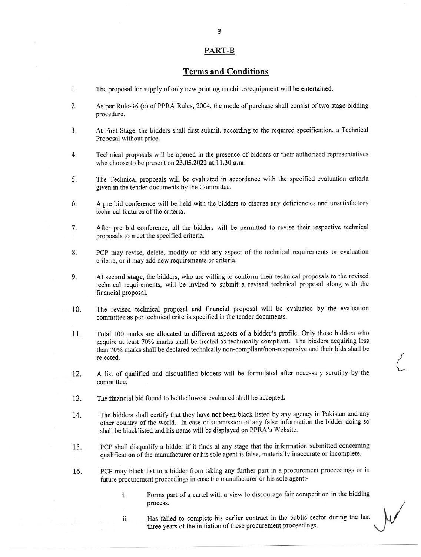## PART-B

# Terms and Conditions

- 1. The proposal for supply of only new printing machines/equipment will be entertained.
- 2. As per Rule-36 (c) of PPRA Rules, 2004, the mode of purchase shall consist of two stage bidding procedure.
- At First Stage, the bidders shall first submit, according to the required specification, a Technical 3. Proposal without price.
- Technical proposals will be opened in the presence of bidders or their authorized representatives who choose to be present on 23.05.2022 at 11.30 a.m.  $4.$
- The Technical proposals will be evaluated in accordance with the specified evaluation criteria given in the tender documents by the Committee. 5
- A pre bid conference will be held with the bidders to discuss any deficiencies and unsatisfactory technical features of the criteria. 6
- After pre bid conference, all the bidders will be permitted to revise their respective technical proposals to meet the specified criteria. 7
- PCP may revise, delete, modify or add any aspect of the technical requirements or evaluation criteria, or it may add new requirements or criteria. 8
- At second stage, the bidders, who are willing to conform their technical proposals to the revised technical requirements, will be invited to submit a revised technical proposal along with the financial proposal. 9.
- 10. The revised technical proposal and financial proposal will be evaluated by the evaluation committee as per technical criteria specified in the tender documents.
- 1t Total 100 marks are allocated to different aspects of a bidder's profile. Only those bidders who acquire at least 70% marks shall be treated as technically compliant. The bidders acquiring less than 70% marks shall be declared technically non-compliant/non-responsive and their bids shall be rejected.
- 12. A list of qualified and disqualified bidders will be formulated after necessary scrutiny by the committee.
- 13. The financial bid found to be the lowest evaluated shall be accepted.
- 14. The bidders shall certify that they have not been black listed by any agency in Pakistan and any other country of the world. In case of submission of any false information the bidder doing so shall be blacklisted and his name will be displayed on PPRA'S Website.
- 15. PCP shall disqualify a bidder if it finds at any stage that the information submitted concerning qualification of the manufacturer or his sole agent is false, materially inaccurate or incomplete.
- PCP may black list to a bidder from taking any further part in a procurement proceedings or in future procurement proceedings in case the manufacturer or his sole agent:-16
	- Forms part of a cartel with a view to discourage fair competition in the bidding i. process.

(

 $\sqrt{2}$ 

Has failed to complete his earlier contract in the public sector during the last ii. three years of the initiation of these procurement proceedings.

3